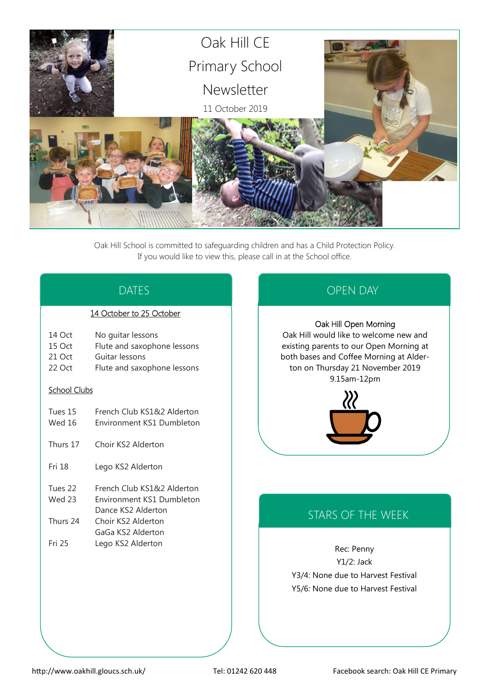

Oak Hill School is committed to safeguarding children and has a Child Protection Policy. If you would like to view this, please call in at the School office.

# DATES

### 14 October to 25 October

- 14 Oct No guitar lessons
- 15 Oct Flute and saxophone lessons
- 21 Oct Guitar lessons
- 22 Oct Flute and saxophone lessons

### School Clubs

- Tues 15 French Club KS1&2 Alderton
- Wed 16 Environment KS1 Dumbleton
- Thurs 17 Choir KS2 Alderton
- Fri 18 Lego KS2 Alderton
- Tues 22 French Club KS1&2 Alderton
- Wed 23 Environment KS1 Dumbleton Dance KS2 Alderton
- Thurs 24 Choir KS2 Alderton
- GaGa KS2 Alderton Fri 25 Lego KS2 Alderton

# OPEN DAY

### Oak Hill Open Morning

Oak Hill would like to welcome new and existing parents to our Open Morning at both bases and Coffee Morning at Alderton on Thursday 21 November 2019 9.15am-12pm



# STARS OF THE WEEK

Rec: Penny Y1/2: Jack Y3/4: None due to Harvest Festival Y5/6: None due to Harvest Festival